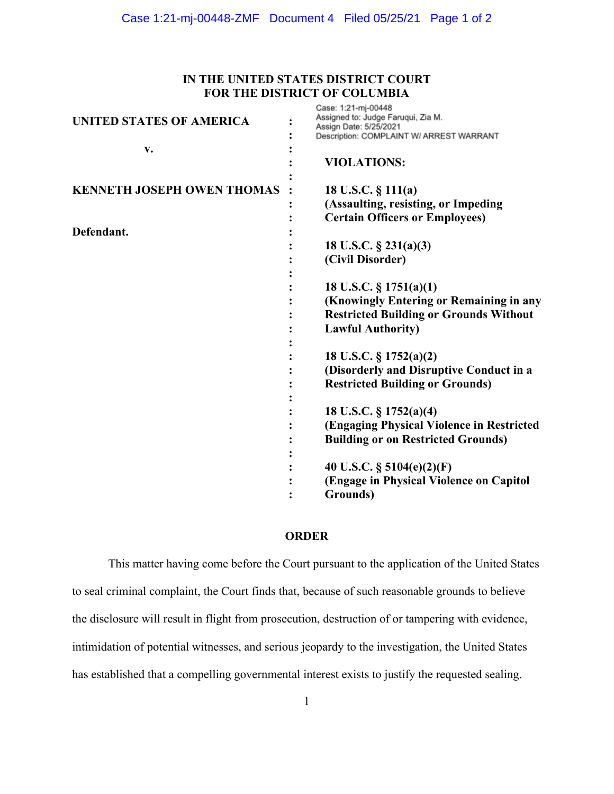## **IN THE UNITED STATES DISTRICT COURT FOR THE DISTRICT OF COLUMBIA**

|                                   | Case: 1:21-mj-00448                           |
|-----------------------------------|-----------------------------------------------|
| <b>UNITED STATES OF AMERICA</b>   | Assigned to: Judge Faruqui, Zia M.            |
|                                   | Assign Date: 5/25/2021                        |
|                                   | Description: COMPLAINT W/ ARREST WARRANT      |
| v.                                |                                               |
|                                   | <b>VIOLATIONS:</b>                            |
|                                   |                                               |
|                                   |                                               |
| <b>KENNETH JOSEPH OWEN THOMAS</b> | 18 U.S.C. § 111(a)                            |
|                                   | (Assaulting, resisting, or Impeding           |
|                                   | <b>Certain Officers or Employees)</b>         |
|                                   |                                               |
| Defendant.                        |                                               |
|                                   | 18 U.S.C. $\S$ 231(a)(3)                      |
|                                   | (Civil Disorder)                              |
|                                   |                                               |
|                                   |                                               |
|                                   | 18 U.S.C. $\S$ 1751(a)(1)                     |
|                                   | (Knowingly Entering or Remaining in any       |
|                                   | <b>Restricted Building or Grounds Without</b> |
|                                   |                                               |
|                                   | <b>Lawful Authority)</b>                      |
|                                   |                                               |
|                                   | 18 U.S.C. § 1752(a)(2)                        |
|                                   | (Disorderly and Disruptive Conduct in a       |
|                                   |                                               |
|                                   | <b>Restricted Building or Grounds)</b>        |
|                                   |                                               |
|                                   | 18 U.S.C. § 1752(a)(4)                        |
|                                   | (Engaging Physical Violence in Restricted     |
|                                   |                                               |
|                                   | <b>Building or on Restricted Grounds)</b>     |
|                                   |                                               |
|                                   | 40 U.S.C. $\S$ 5104(e)(2)(F)                  |
|                                   |                                               |
|                                   | (Engage in Physical Violence on Capitol       |
|                                   | Grounds)                                      |

## **ORDER**

This matter having come before the Court pursuant to the application of the United States to seal criminal complaint, the Court finds that, because of such reasonable grounds to believe the disclosure will result in flight from prosecution, destruction of or tampering with evidence, intimidation of potential witnesses, and serious jeopardy to the investigation, the United States has established that a compelling governmental interest exists to justify the requested sealing.